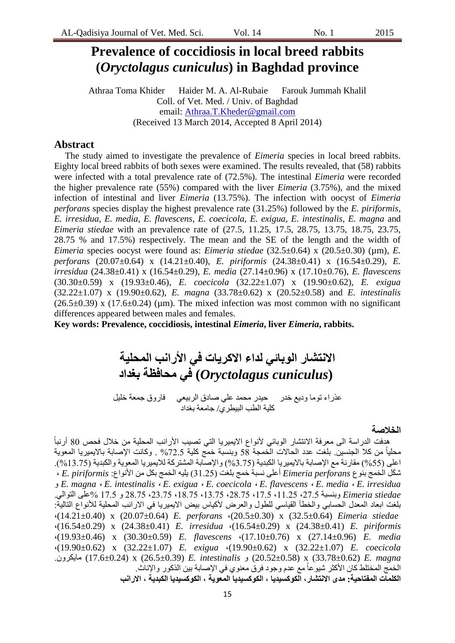## **Prevalence of coccidiosis in local breed rabbits (***Oryctolagus cuniculus***) in Baghdad province**

Athraa Toma Khider Haider M. A. Al-Rubaie Farouk Jummah Khalil Coll. of Vet. Med. / Univ. of Baghdad email: [Athraa.T.Kheder@gmail.com](mailto:Athraa.T.Kheder@gmail.com) (Received 13 March 2014, Accepted 8 April 2014)

#### **Abstract**

The study aimed to investigate the prevalence of *Eimeria* species in local breed rabbits. Eighty local breed rabbits of both sexes were examined. The results revealed, that (58) rabbits were infected with a total prevalence rate of (72.5%). The intestinal *Eimeria* were recorded the higher prevalence rate (55%) compared with the liver *Eimeria* (3.75%), and the mixed infection of intestinal and liver *Eimeria* (13.75%). The infection with oocyst of *Eimeria perforans* species display the highest prevalence rate (31.25%) followed by the *E. piriformis*, *E. irresidua, E. media*, *E. flavescens*, *E. coecicola, E. exigua, E. intestinalis, E. magna* and *Eimeria stiedae* with an prevalence rate of (27.5, 11.25, 17.5, 28.75, 13.75, 18.75, 23.75, 28.75 % and 17.5%) respectively. The mean and the SE of the length and the width of *Eimeria* species oocyst were found as: *Eimeria stiedae* (32.5±0.64) x (20.5±0.30) (µm), *E. perforans* (20.07±0.64) x (14.21±0.40), *E. piriformis* (24.38±0.41) x (16.54±0.29), *E. irresidua* (24.38±0.41) x (16.54±0.29), *E. media* (27.14±0.96) x (17.10±0.76), *E. flavescens* (30.30±0.59) x (19.93±0.46), *E. coecicola* (32.22±1.07) x (19.90±0.62), *E. exigua* (32.22±1.07) x (19.90±0.62), *E. magna* (33.78±0.62) x (20.52±0.58) and *E. intestinalis*  $(26.5\pm0.39)$  x  $(17.6\pm0.24)$  (µm). The mixed infection was most common with no significant differences appeared between males and females.

**Key words: Prevalence, coccidiosis, intestinal** *Eimeria***, liver** *Eimeria***, rabbits.**

# **االنتشار الوبائي لذاء االكريات في األرانب المحلية (***cuniculus Oryctolagus* **(في محافظة بغذاد**

عذراء توما وديع خدر محيدر محمد علي صادق الربيعي مفاروق جمعة خليل كلية الطب البيطري/ جامعة بغداد

#### **الخالصة**

ً هدفت الدراسة الى معرفة الانتشار الوبائي لأنواع الايميريا التي تصيب الأرانب المحلية من خلال فحص 80 أرنباً محلياً من كلا الجنسبن بلغت عدد الحالات الخمجة 58 وبنسبة خمج كلية 72.5% . وكانت الإصابة بالايميريا المعوية اعلى (55%) مقارنة مع الإصابة بالايميريا الكبدية (3.75%) والإصابة المشتركة للايميريا المعوية والكبدية (13.75%). ش َكم انخمج بىوع *perforans Eimeria* أعهى وسبة خمج بهغث )55..8( ٌهٍه انخمج بكم مه األوواع2 *piriformis .E* , و *E. magna* , *E. intestinalis* , *E. exigua* , *E. coecicola* , *E. flavescens* , *E. media* , *E. irresidua stiedae Eimeria* وبىسبة ,.5.8 ,55..8 ,55.8 ,.0.58 ,55.58 ,50.58 ,.5.58 .0.58 و 55.8 %عهى انحوان.ً بلغت ابعاد المعدل الحسابي والخطأ القياسي للطول والعرض لأكياس بيض الايميريا في الارانب المحلية للأنواع التالية: ,(14.21±0.40) x (20.07±0.64) *E. perforans* ,(20.5±0.30) x (32.5±0.64) *Eimeria stiedae* ,(16.54±0.29) x (24.38±0.41) *E. irresidua* ,(16.54±0.29) x (24.38±0.41) *E. piriformis* ,(19.93±0.46) x (30.30±0.59) *E. flavescens* ,(17.10±0.76) x (27.14±0.96) *E. media* ,(19.90±0.62) x (32.22±1.07) *E. exigua* ,(19.90±0.62) x (32.22±1.07) *E. coecicola* .كزونٌما) 17.6±0.24 (x (26.5±0.39) *E. intestinalis* و) 20.52±0.58 (x (33.78±0.62) *E. magna* الخمج المختلط كان الأكثر شيوعاً مع عدم وجود فرق معنوي في الإصابة بين الذكور والإناث. **الكلمات المفتاحية: مذى االنتشار, الكوكسيذيا , الكوكسيذيا المعوية , الكوكسيذيا الكبذية , االرانب**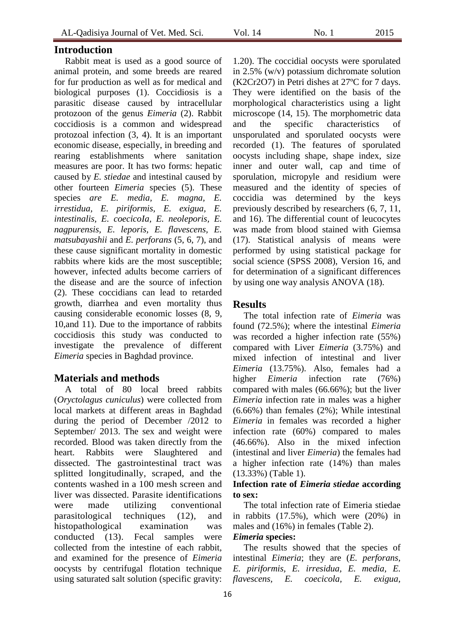## **Introduction**

Rabbit meat is used as a good source of animal protein, and some breeds are reared for fur production as well as for medical and biological purposes (1). Coccidiosis is a parasitic disease caused by intracellular protozoon of the genus *Eimeria* (2). Rabbit coccidiosis is a common and widespread protozoal infection (3, 4). It is an important economic disease, especially, in breeding and rearing establishments where sanitation measures are poor. It has two forms: hepatic caused by *E. stiedae* and intestinal caused by other fourteen *Eimeria* species (5). These species *are E. media, E. magna, E. irrestidua, E. piriformis, E. exigua, E. intestinalis, E. coecicoIa, E. neoleporis, E. nagpurensis, E. leporis, E. flavescens, E. matsubayashii* and *E. perforans* (5, 6, 7), and these cause significant mortality in domestic rabbits where kids are the most susceptible; however, infected adults become carriers of the disease and are the source of infection (2). These coccidians can lead to retarded growth, diarrhea and even mortality thus causing considerable economic losses (8, 9, 10,and 11). Due to the importance of rabbits coccidiosis this study was conducted to investigate the prevalence of different *Eimeria* species in Baghdad province.

## **Materials and methods**

A total of 80 local breed rabbits (*Oryctolagus cuniculus*) were collected from local markets at different areas in Baghdad during the period of December /2012 to September/ 2013. The sex and weight were recorded. Blood was taken directly from the heart. Rabbits were Slaughtered and dissected. The gastrointestinal tract was splitted longitudinally, scraped, and the contents washed in a 100 mesh screen and liver was dissected. Parasite identifications were made utilizing conventional parasitological techniques (12), and histopathological examination was conducted (13). Fecal samples were collected from the intestine of each rabbit, and examined for the presence of *Eimeria* oocysts by centrifugal flotation technique using saturated salt solution (specific gravity:

1.20). The coccidial oocysts were sporulated in 2.5% (w/v) potassium dichromate solution (K2Cr2O7) in Petri dishes at 27ºC for 7 days. They were identified on the basis of the morphological characteristics using a light microscope (14, 15). The morphometric data and the specific characteristics of unsporulated and sporulated oocysts were recorded (1). The features of sporulated oocysts including shape, shape index, size inner and outer wall, cap and time of sporulation, micropyle and residium were measured and the identity of species of coccidia was determined by the keys previously described by researchers (6, 7, 11, and 16). The differential count of leucocytes was made from blood stained with Giemsa (17). Statistical analysis of means were performed by using statistical package for social science (SPSS 2008), Version 16, and for determination of a significant differences by using one way analysis ANOVA (18).

## **Results**

The total infection rate of *Eimeria* was found (72.5%); where the intestinal *Eimeria* was recorded a higher infection rate (55%) compared with Liver *Eimeria* (3.75%) and mixed infection of intestinal and liver *Eimeria* (13.75%). Also, females had a higher *Eimeria* infection rate (76%) compared with males (66.66%); but the liver *Eimeria* infection rate in males was a higher (6.66%) than females (2%); While intestinal *Eimeria* in females was recorded a higher infection rate (60%) compared to males (46.66%). Also in the mixed infection (intestinal and liver *Eimeria*) the females had a higher infection rate (14%) than males (13.33%) (Table 1).

#### **Infection rate of** *Eimeria stiedae* **according to sex:**

The total infection rate of Eimeria stiedae in rabbits (17.5%), which were (20%) in males and (16%) in females (Table 2).

#### *Eimeria* **species:**

The results showed that the species of intestinal *Eimeria*; they are (*E. perforans, E. piriformis, E. irresidua, E. media, E. flavescens, E. coecicola, E. exigua,*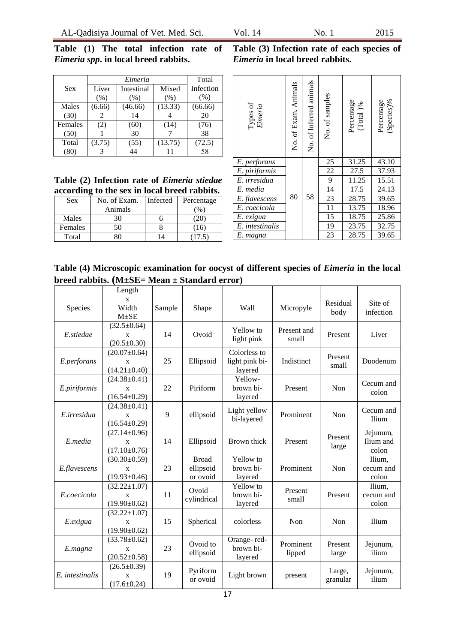**Table (1) The total infection rate of**  *Eimeria spp***. in local breed rabbits.**

|            |        | Total      |         |           |
|------------|--------|------------|---------|-----------|
| <b>Sex</b> | Liver  | Intestinal | Mixed   | Infection |
|            | (% )   | (% )       | (% )    | (% )      |
| Males      | (6.66) | (46.66)    | (13.33) | (66.66)   |
| (30)       |        | 14         |         | 20        |
| Females    | (2)    | (60)       | (14)    | (76)      |
| (50)       |        | 30         |         | 38        |
| Total      | (3.75) | (55)       | (13.75) | (72.5)    |
| (80)       |        | 44         |         | 58        |

**Table (2) Infection rate of** *Eimeria stiedae* **according to the sex in local breed rabbits.**

| <b>Sex</b> | No. of Exam. | Infected | Percentage |
|------------|--------------|----------|------------|
|            | Animals      |          | $\%$       |
| Males      | 30           |          |            |
| Females    | 50           |          | -161       |
| Total      | 30           |          |            |

**Table (3) Infection rate of each species of** *Eimeria* **in local breed rabbits.**

| Types of<br>Eimeria | No. of Exam. Animals | No. of Infected animals | No. of samples  | Percentage<br>(Total)% | Percentage<br>(Species)% |
|---------------------|----------------------|-------------------------|-----------------|------------------------|--------------------------|
| E. perforans        |                      |                         | 25              | 31.25                  | 43.10                    |
| E. piriformis       |                      |                         | 22              | 27.5                   | 37.93                    |
| E. irresidua        |                      |                         | 9               | 11.25                  | 15.51                    |
| E. media            |                      |                         | $\overline{14}$ | 17.5                   | 24.13                    |
| E. flavescens       | 80                   | 58                      | 23              | 28.75                  | 39.65                    |
| E. coecicola        |                      |                         | 11              | 13.75                  | 18.96                    |
| E. exigua           |                      |                         | 15              | 18.75                  | 25.86                    |
| E. intestinalis     |                      |                         | 19              | 23.75                  | 32.75                    |
| E. magna            |                      |                         | 23              | 28.75                  | 39.65                    |

**Table (4) Microscopic examination for oocyst of different species of** *Eimeria* **in the local breed rabbits. (M±SE= Mean ± Standard error)**

|                 | Length                                                   |        |                                       |                                           |                      |                    |                                |
|-----------------|----------------------------------------------------------|--------|---------------------------------------|-------------------------------------------|----------------------|--------------------|--------------------------------|
| Species         | X<br>Width<br>$M \pm SE$                                 | Sample | Shape                                 | Wall                                      | Micropyle            | Residual<br>body   | Site of<br>infection           |
| E.stiedae       | $(32.5 \pm 0.64)$<br>X<br>$(20.5 \pm 0.30)$              | 14     | Ovoid                                 | Yellow to<br>light pink                   | Present and<br>small | Present            | Liver                          |
| E.perforans     | $(20.07 \pm 0.64)$<br>X<br>$(14.21 \pm 0.40)$            | 25     | Ellipsoid                             | Colorless to<br>light pink bi-<br>layered | Indistinct           | Present<br>small   | Duodenum                       |
| E.piriformis    | $(24.38 \pm 0.41)$<br>$\mathbf x$<br>$(16.54 \pm 0.29)$  | 22     | Piriform                              | Yellow-<br>brown bi-<br>layered           | Present              | Non                | Cecum and<br>colon             |
| E.irresidua     | $(24.38 \pm 0.41)$<br>X<br>$(16.54 \pm 0.29)$            | 9      | ellipsoid                             | Light yellow<br>bi-layered                | Prominent            | Non                | Cecum and<br>Ilium             |
| E.media         | $(27.14 \pm 0.96)$<br>$\mathbf{x}$<br>$(17.10 \pm 0.76)$ | 14     | Ellipsoid                             | Brown thick                               | Present              | Present<br>large   | Jejunum,<br>Ilium and<br>colon |
| E.flavescens    | $(30.30 \pm 0.59)$<br>X<br>$(19.93 \pm 0.46)$            | 23     | <b>Broad</b><br>ellipsoid<br>or ovoid | Yellow to<br>brown bi-<br>layered         | Prominent            | Non                | Ilium,<br>cecum and<br>colon   |
| E.coecicola     | $(32.22 \pm 1.07)$<br>X<br>$(19.90 \pm 0.62)$            | 11     | $Ovoid -$<br>cylindrical              | Yellow to<br>brown bi-<br>layered         | Present<br>small     | Present            | Ilium,<br>cecum and<br>colon   |
| E.exigua        | $(32.22 \pm 1.07)$<br>$\mathbf{x}$<br>$(19.90 \pm 0.62)$ | 15     | Spherical                             | colorless                                 | Non                  | Non                | Ilium                          |
| E.magna         | $(33.78 \pm 0.62)$<br>X<br>$(20.52 \pm 0.58)$            | 23     | Ovoid to<br>ellipsoid                 | Orange-red-<br>brown bi-<br>layered       | Prominent<br>lipped  | Present<br>large   | Jejunum,<br>ilium              |
| E. intestinalis | $(26.5 \pm 0.39)$<br>$\mathbf x$<br>$(17.6 \pm 0.24)$    | 19     | Pyriform<br>or ovoid                  | Light brown                               | present              | Large,<br>granular | Jejunum,<br>ilium              |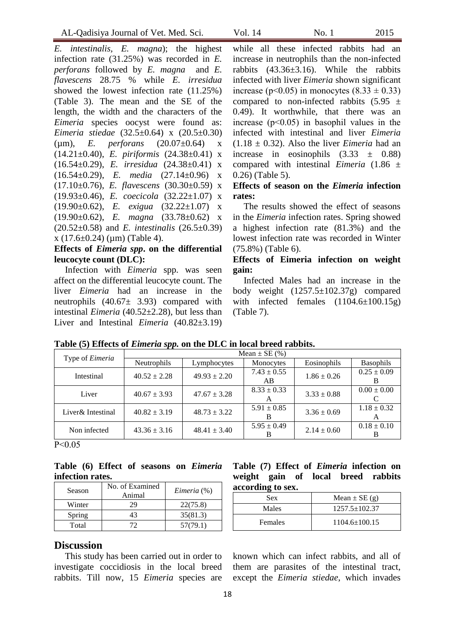*E. intestinalis, E. magna*); the highest infection rate (31.25%) was recorded in *E. perforans* followed by *E. magna* and *E. flavescens* 28.75 % while *E. irresidua* showed the lowest infection rate (11.25%) (Table 3). The mean and the SE of the length, the width and the characters of the *Eimeria* species oocyst were found as: *Eimeria stiedae* (32.5±0.64) x (20.5±0.30) (µm), *E. perforans* (20.07±0.64) x (14.21±0.40), *E. piriformis* (24.38±0.41) x (16.54±0.29), *E. irresidua* (24.38±0.41) x (16.54±0.29), *E. media* (27.14±0.96) x (17.10±0.76), *E. flavescens* (30.30±0.59) x (19.93±0.46), *E. coecicola* (32.22±1.07) x (19.90±0.62), *E. exigua* (32.22±1.07) x (19.90±0.62), *E. magna* (33.78±0.62) x (20.52±0.58) and *E. intestinalis* (26.5±0.39)  $x(17.6\pm0.24)$  (um) (Table 4).

#### **Effects of** *Eimeria spp***. on the differential leucocyte count (DLC):**

Infection with *Eimeria* spp. was seen affect on the differential leucocyte count. The liver *Eimeria* had an increase in the neutrophils  $(40.67 \pm 3.93)$  compared with intestinal *Eimeria* (40.52±2.28), but less than Liver and Intestinal *Eimeria* (40.82±3.19)

while all these infected rabbits had an increase in neutrophils than the non-infected rabbits (43.36±3.16). While the rabbits infected with liver *Eimeria* shown significant increase (p<0.05) in monocytes  $(8.33 \pm 0.33)$ compared to non-infected rabbits  $(5.95 \pm$ 0.49). It worthwhile, that there was an increase (p˂0.05) in basophil values in the infected with intestinal and liver *Eimeria*  $(1.18 \pm 0.32)$ . Also the liver *Eimeria* had an increase in eosinophils  $(3.33 \pm 0.88)$ compared with intestinal *Eimeria* (1.86 ± 0.26) (Table 5).

## **Effects of season on the** *Eimeria* **infection rates:**

The results showed the effect of seasons in the *Eimeria* infection rates. Spring showed a highest infection rate (81.3%) and the lowest infection rate was recorded in Winter (75.8%) (Table 6).

#### **Effects of Eimeria infection on weight gain:**

Infected Males had an increase in the body weight  $(1257.5 \pm 102.37)$  compared with infected females  $(1104.6\pm100.15g)$ (Table 7).

| Type of Eimeria   | Mean $\pm$ SE (%) |                  |                       |                 |                      |  |
|-------------------|-------------------|------------------|-----------------------|-----------------|----------------------|--|
|                   | Neutrophils       | Lymphocytes      | Monocytes             | Eosinophils     | <b>Basophils</b>     |  |
| Intestinal        | $40.52 \pm 2.28$  | $49.93 \pm 2.20$ | $7.43 \pm 0.55$<br>AB | $1.86 \pm 0.26$ | $0.25 \pm 0.09$      |  |
| Liver             | $40.67 \pm 3.93$  | $47.67 \pm 3.28$ | $8.33 \pm 0.33$<br>A  | $3.33 \pm 0.88$ | $0.00 \pm 0.00$      |  |
| Liver& Intestinal | $40.82 \pm 3.19$  | $48.73 \pm 3.22$ | $5.91 \pm 0.85$       | $3.36 \pm 0.69$ | $1.18 \pm 0.32$<br>A |  |
| Non infected      | $43.36 \pm 3.16$  | $48.41 \pm 3.40$ | $5.95 \pm 0.49$       | $2.14 \pm 0.60$ | $0.18 \pm 0.10$      |  |

**Table (5) Effects of** *Eimeria spp.* **on the DLC in local breed rabbits.**

P˂0.05

#### **Table (6) Effect of seasons on** *Eimeria*  **infection rates.**

| Season | No. of Examined<br>Animal | Eimeria (%) |
|--------|---------------------------|-------------|
| Winter | 29                        | 22(75.8)    |
| Spring | 43                        | 35(81.3)    |
| Total  | 72                        | 57(79.1)    |
|        |                           |             |

#### **Discussion**

This study has been carried out in order to investigate coccidiosis in the local breed rabbits. Till now, 15 *Eimeria* species are

#### **Table (7) Effect of** *Eimeria* **infection on weight gain of local breed rabbits according to sex.**

| Sex            | Mean $\pm$ SE (g)   |
|----------------|---------------------|
| Males          | $1257.5 \pm 102.37$ |
| <b>Females</b> | $1104.6 \pm 100.15$ |

known which can infect rabbits, and all of them are parasites of the intestinal tract, except the *Eimeria stiedae*, which invades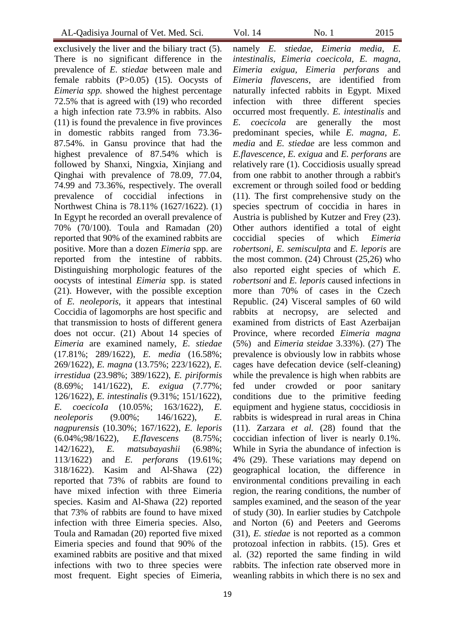exclusively the liver and the biliary tract (5). There is no significant difference in the prevalence of *E. stiedae* between male and female rabbits (P>0.05) (15). Oocysts of *Eimeria spp.* showed the highest percentage 72.5% that is agreed with (19) who recorded a high infection rate 73.9% in rabbits. Also (11) is found the prevalence in five provinces in domestic rabbits ranged from 73.36- 87.54%. in Gansu province that had the highest prevalence of 87.54% which is followed by Shanxi, Ningxia, Xinjiang and Qinghai with prevalence of 78.09, 77.04, 74.99 and 73.36%, respectively. The overall prevalence of coccidial infections in Northwest China is 78.11% (1627/1622). (1) In Egypt he recorded an overall prevalence of 70% (70/100). Toula and Ramadan (20) reported that 90% of the examined rabbits are positive. More than a dozen *Eimeria* spp. are reported from the intestine of rabbits. Distinguishing morphologic features of the oocysts of intestinal *Eimeria* spp. is stated (21). However, with the possible exception of *E. neoleporis,* it appears that intestinal Coccidia of lagomorphs are host specific and that transmission to hosts of different genera does not occur. (21) About 14 species of *Eimeria* are examined namely, *E. stiedae* (17.81%; 289/1622), *E. media* (16.58%; 269/1622), *E. magna* (13.75%; 223/1622), *E. irrestidua* (23.98%; 389/1622), *E. piriformis* (8.69%; 141/1622), *E. exigua* (7.77%; 126/1622), *E. intestinalis* (9.31%; 151/1622), *E. coecicoIa* (10.05%; 163/1622), *E. neoleporis* (9.00%; 146/1622), *E. nagpurensis* (10.30%; 167/1622), *E. leporis* (6.04%;98/1622), *E.fIavescens* (8.75%; 142/1622), *E. matsubayashii* (6.98%; 113/1622) and *E. perforans* (19.61%; 318/1622). Kasim and Al-Shawa (22) reported that 73% of rabbits are found to have mixed infection with three Eimeria species. Kasim and Al-Shawa (22) reported that 73% of rabbits are found to have mixed infection with three Eimeria species. Also, Toula and Ramadan (20) reported five mixed Eimeria species and found that 90% of the examined rabbits are positive and that mixed infections with two to three species were most frequent. Eight species of Eimeria,

namely *E. stiedae*, *Eimeria media*, *E. intestinalis, Eimeria coecicola, E. magna, Eimeria exigua, Eimeria perforans* and *Eimeria flavescens*, are identified from naturally infected rabbits in Egypt. Mixed infection with three different species occurred most frequently. *E. intestinalis* and *E. coecicola* are generally the most predominant species, while *E. magna, E. media* and *E. stiedae* are less common and *E.flavescence*, *E. exigua* and *E. perforans* are relatively rare (1). Coccidiosis usually spread from one rabbit to another through a rabbit's excrement or through soiled food or bedding (11). The first comprehensive study on the species spectrum of coccidia in hares in Austria is published by Kutzer and Frey (23). Other authors identified a total of eight coccidial species of which *Eimeria robertsoni*, *E. semisculpta* and *E. leporis* are the most common. (24) Chroust (25,26) who also reported eight species of which *E. robertsoni* and *E. leporis* caused infections in more than 70% of cases in the Czech Republic. (24) Visceral samples of 60 wild rabbits at necropsy, are selected and examined from districts of East Azerbaijan Province, where recorded *Eimeria magna*  (5%) and *Eimeria steidae* 3.33%). (27) The prevalence is obviously low in rabbits whose cages have defecation device (self-cleaning) while the prevalence is high when rabbits are fed under crowded or poor sanitary conditions due to the primitive feeding equipment and hygiene status, coccidiosis in rabbits is widespread in rural areas in China (11). Zarzara *et al.* (28) found that the coccidian infection of liver is nearly 0.1%. While in Syria the abundance of infection is 4% (29). These variations may depend on geographical location, the difference in environmental conditions prevailing in each region, the rearing conditions, the number of samples examined, and the season of the year of study (30). In earlier studies by Catchpole and Norton (6) and Peeters and Geeroms (31), *E. stiedae* is not reported as a common protozoal infection in rabbits. (15). Gres et al. (32) reported the same finding in wild rabbits. The infection rate observed more in weanling rabbits in which there is no sex and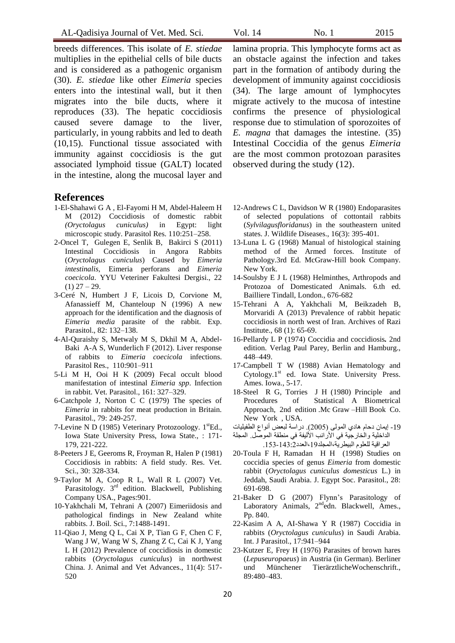breeds differences. This isolate of *E. stiedae*  multiplies in the epithelial cells of bile ducts and is considered as a pathogenic organism (30). *E. stiedae* like other *Eimeria* species enters into the intestinal wall, but it then migrates into the bile ducts, where it reproduces (33). The hepatic coccidiosis caused severe damage to the liver, particularly, in young rabbits and led to death (10,15). Functional tissue associated with immunity against coccidiosis is the gut associated lymphoid tissue (GALT) located in the intestine, along the mucosal layer and

#### **References**

- 1-El-Shahawi G A , El-Fayomi H M, Abdel-Haleem H M (2012) Coccidiosis of domestic rabbit *(Oryctolagus cuniculus)* in Egypt: light microscopic study. Parasitol Res. 110:251–258.
- 2-Oncel T, Gulegen E, Senlik B, Bakirci S (2011) Intestinal Coccidiosis in Angora Rabbits (*Oryctolagus cuniculus*) Caused by *Eimeria intestinalis*, Eimeria perforans and *Eimeria coecicola*. YYU Veteriner Fakultesi Dergisi., 22  $(1)$  27 – 29.
- 3-Ceré N, Humbert J F, Licois D, Corvione M, Afanassieff M, Chanteloup N (1996) A new approach for the identification and the diagnosis of *Eimeria media* parasite of the rabbit. Exp. Parasitol., 82: 132–138.
- 4-Al-Quraishy S, Metwaly M S, Dkhil M A, Abdel-Baki A-A S, Wunderlich F (2012). Liver response of rabbits to *Eimeria coecicola* infections. Parasitol Res., 110:901–911
- 5-Li M H, Ooi H K (2009) Fecal occult blood manifestation of intestinal *Eimeria spp*. Infection in rabbit. Vet. Parasitol., 161: 327–329.
- 6-Catchpole J, Norton C C (1979) The species of *Eimeria* in rabbits for meat production in Britain. Parasitol., 79: 249-257.
- 7-Levine N D (1985) Veterinary Protozoology. 1<sup>st</sup>Ed., Iowa State University Press, Iowa State., : 171- 179, 221-222.
- 8-Peeters J E, Geeroms R, Froyman R, Halen P (1981) Coccidiosis in rabbits: A field study. Res. Vet. Sci., 30: 328-334.
- 9-Taylor M A, Coop R L, Wall R L (2007) Vet. Parasitology. 3<sup>rd</sup> edition. Blackwell, Publishing Company USA., Pages:901.
- 10-Yakhchali M, Tehrani A (2007) Eimeriidosis and pathological findings in New Zealand white rabbits. J. Boil. Sci., 7:1488-1491.
- 11-Qiao J, Meng Q L, Cai X P, Tian G F, Chen C F, Wang J W, Wang W S, Zhang Z C, Cai K J, Yang L H (2012) Prevalence of coccidiosis in domestic rabbits (*Oryctolagus cuniculus*) in northwest China. J. Animal and Vet Advances., 11(4): 517- 520

lamina propria. This lymphocyte forms act as an obstacle against the infection and takes part in the formation of antibody during the development of immunity against coccidiosis (34). The large amount of lymphocytes migrate actively to the mucosa of intestine confirms the presence of physiological response due to stimulation of sporozoites of *E. magna* that damages the intestine. (35) Intestinal Coccidia of the genus *Eimeria*  are the most common protozoan parasites observed during the study (12).

- 12-Andrews C L, Davidson W R (1980) Endoparasites of selected populations of cottontail rabbits (*Sylvilagusfloridanus*) in the southeastern united states. J. Wildlife Diseases., 16(3): 395-401.
- 13-Luna L G (1968) Manual of histological staining method of the Armed forces. Institute of Pathology.3rd Ed. McGraw-Hill book Company. New York.
- 14-Soulsby E J L (1968) Helminthes, Arthropods and Protozoa of Domesticated Animals*.* 6.th ed. Bailliere Tindall, London., 676-682
- 15-Tehrani A A, Yakhchali M, Beikzadeh B, Morvaridi A (2013) Prevalence of rabbit hepatic coccidiosis in north west of Iran. Archives of Razi Institute., 68 (1): 65-69.
- 16-Pellardy L P (1974) Coccidia and coccidiosis*.* 2nd edition. Verlag Paul Parey, Berlin and Hamburg., 448–449.
- 17**-**Campbell T W (1988) Avian Hematology and  $Cytology.1<sup>st</sup>$  ed. Iowa State. University Press. Ames. Iowa., 5-17.
- 18-Steel R G, Torries J H (1980) Principle and Procedures of Statistical A Biometrical Approach, 2nd edition .Mc Graw –Hill Book Co. New York , USA.
- 19- إيمان دحام هادي المولى (2005). دراسة لبعض أنواع الطفيليات

الداخلية والخارجية في الأرانب الأليفة في منطقة الموصل. المجلة العراقية للعلوم البيطرية،المجلد19،العدد2.143-153.

- 20-Toula F H, Ramadan H H (1998) Studies on coccidia species of genus *Eimeria* from domestic rabbit (*Oryctolagus cuniculus domesticus* L.) in Jeddah, Saudi Arabia. J. Egypt Soc. Parasitol., 28: 691-698.
- 21-Baker D G (2007) Flynn's Parasitology of Laboratory Animals,  $2^{nd}$ edn. Blackwell, Ames., Pp. 840.
- 22-Kasim A A, AI-Shawa Y R (1987) Coccidia in rabbits (*Oryctolagus cuniculus*) in Saudi Arabia. Int. J Parasitol., 17:941–944
- 23-Kutzer E, Frey H (1976) Parasites of brown hares (*Lepuseuropaeus*) in Austria (in German). Berliner und Münchener TierärztlicheWochenschrift., 89:480–483.